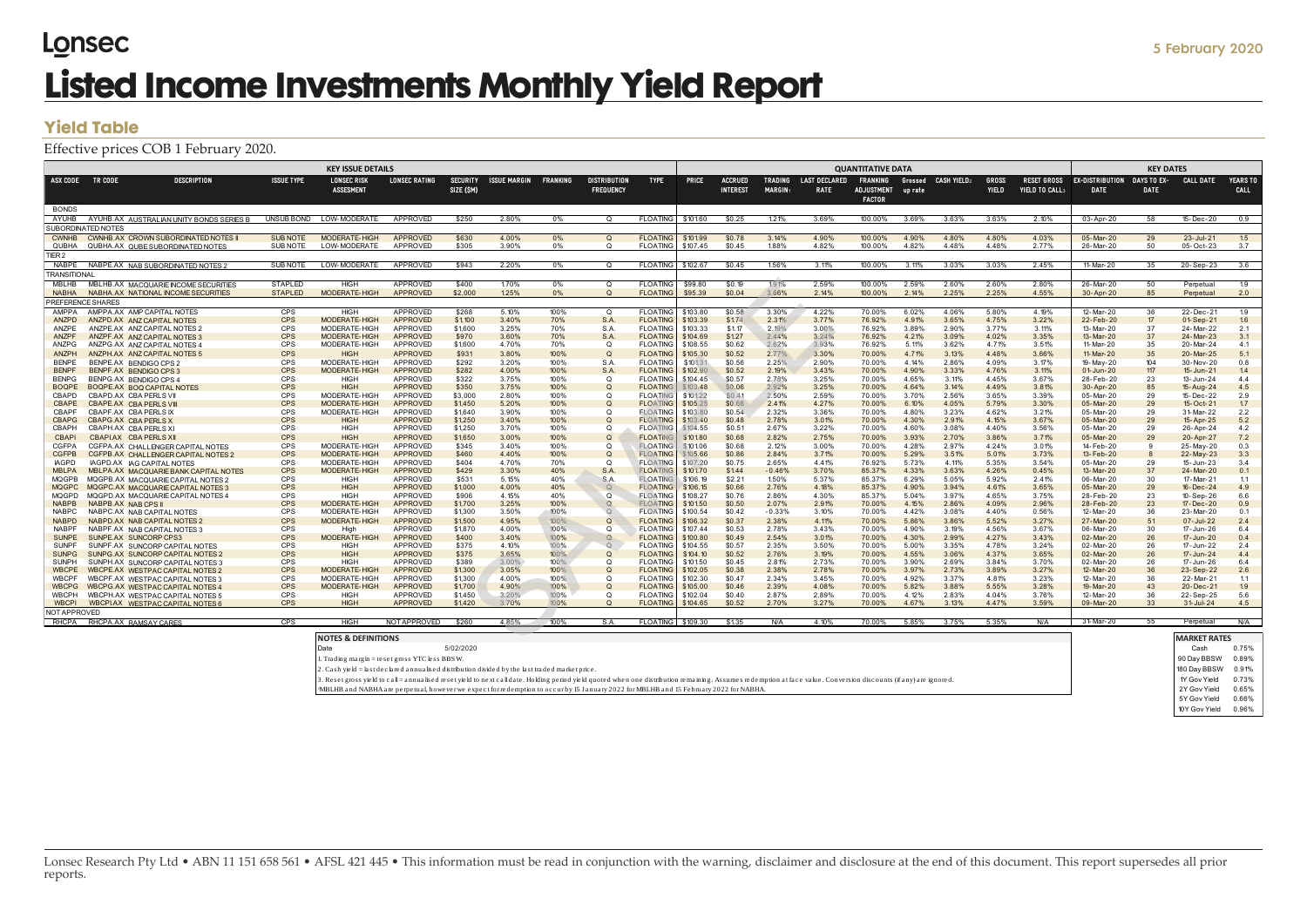# Lonsec **Listed Income Investments Monthly Yield Report**

### **Yield Table**

#### Effective prices COB 1 February 2020.

|                                                                                                                                                                                                                                                                                                                                                                                                                                                                                                                                                               | <b>Yield Table</b>                                                          |                   |                                        |                                    |                              |                     |                 |                                         |                                    |                      |                                                                                                            |                                                    |                              |                                                       |                    |                    |                              |                                      |                                       |                            |                        |                  |
|---------------------------------------------------------------------------------------------------------------------------------------------------------------------------------------------------------------------------------------------------------------------------------------------------------------------------------------------------------------------------------------------------------------------------------------------------------------------------------------------------------------------------------------------------------------|-----------------------------------------------------------------------------|-------------------|----------------------------------------|------------------------------------|------------------------------|---------------------|-----------------|-----------------------------------------|------------------------------------|----------------------|------------------------------------------------------------------------------------------------------------|----------------------------------------------------|------------------------------|-------------------------------------------------------|--------------------|--------------------|------------------------------|--------------------------------------|---------------------------------------|----------------------------|------------------------|------------------|
|                                                                                                                                                                                                                                                                                                                                                                                                                                                                                                                                                               | Effective prices COB 1 February 2020.                                       |                   |                                        |                                    |                              |                     |                 |                                         |                                    |                      |                                                                                                            |                                                    |                              |                                                       |                    |                    |                              |                                      |                                       |                            |                        |                  |
|                                                                                                                                                                                                                                                                                                                                                                                                                                                                                                                                                               |                                                                             |                   | <b>KEY ISSUE DETAILS</b>               |                                    |                              |                     |                 |                                         |                                    |                      |                                                                                                            |                                                    |                              | <b>QUANTITATIVE DATA</b>                              |                    |                    |                              |                                      |                                       | <b>KEY DATES</b>           |                        |                  |
| ASX CODE                                                                                                                                                                                                                                                                                                                                                                                                                                                                                                                                                      | TR CODE<br><b>DESCRIPTION</b>                                               | <b>ISSUE TYPE</b> | <b>LONSEC RISK</b><br><b>ASSESMENT</b> | <b>LONSEC RATING</b>               | <b>SECURITY</b><br>SIZE (SM) | <b>ISSUE MARGIN</b> | <b>FRANKING</b> | <b>DISTRIBUTION</b><br><b>FREQUENCY</b> | <b>TYPE</b>                        | <b>PRICE</b>         | <b>ACCRUED</b><br><b>INTEREST</b>                                                                          | <b>TRADING</b><br><b>MARGIN:</b>                   | <b>LAST DECLARED</b><br>RATE | <b>FRANKING</b><br><b>ADJUSTMENT</b><br><b>FACTOR</b> | Grossed<br>up rate | <b>CASH YIELD2</b> | <b>GROSS</b><br><b>YIELD</b> | <b>RESET GROSS</b><br>YIELD TO CALL: | <b>EX-DISTRIBUTION</b><br><b>DATE</b> | DAYS TO EX-<br><b>DATE</b> | <b>CALL DATE</b>       | YEARS TO<br>CALL |
| <b>BONDS</b>                                                                                                                                                                                                                                                                                                                                                                                                                                                                                                                                                  |                                                                             | UNSUB BOND        |                                        |                                    |                              |                     | 0%              | $\Omega$                                |                                    |                      |                                                                                                            |                                                    |                              |                                                       |                    |                    |                              |                                      |                                       | 58                         |                        |                  |
| AYUHB                                                                                                                                                                                                                                                                                                                                                                                                                                                                                                                                                         | AYUHB.AX AUSTRALIAN UNITY BONDS SERIES B<br><b>SUBORDINATED NOTES</b>       |                   | LOW-MODERATE                           | APPROVED                           | \$250                        | 2.80%               |                 |                                         | <b>FLOATING</b>                    | \$101.60             | \$0.25                                                                                                     | 1.21%                                              | 3.69%                        | 100.00%                                               | 3.69%              | 3.63%              | 3.63%                        | 2.10%                                | 03-Apr-20                             |                            | 15-Dec-20              | 0.9              |
| <b>CWNHB</b>                                                                                                                                                                                                                                                                                                                                                                                                                                                                                                                                                  | CWNHB.AX CROWN SUBORDINATED NOTES II                                        | <b>SUB NOTE</b>   | <b>MODERATE-HIGH</b>                   | <b>APPROVED</b>                    | \$630                        | 4.00%               | 0%              | Q                                       | <b>FLOATIN</b>                     | \$101.99             | \$0.78                                                                                                     | 3.14%                                              | 4.90%                        | 100.00%                                               | 4.90%              | 4.80%              | 4.80%                        | 4.03%                                | 05-Mar-20                             | 29                         | 23-Jul-21              | 1.5              |
| QUBHA                                                                                                                                                                                                                                                                                                                                                                                                                                                                                                                                                         | QUBHA.AX QUBE SUBORDINATED NOTES                                            | SUB NOTE          | LOW-MODERATE                           | APPROVED                           | \$305                        | 3.90%               | 0%              | $\Omega$                                | <b>FLOATIN</b>                     | \$107.45             | \$0.45                                                                                                     | 1.88%                                              | 4.82%                        | 100.00%                                               | 4.82%              | 4.48%              | 4.48%                        | 2.77%                                | 26-Mar-20                             | 50                         | 05-Oct-23              | 3.7              |
| TIER <sub>2</sub><br>NABPE                                                                                                                                                                                                                                                                                                                                                                                                                                                                                                                                    |                                                                             | <b>SUB NOTE</b>   | LOW-MODERAT                            | <b>APPROVED</b>                    | \$943                        | 2.20%               | 0%              | $\Omega$                                | <b>FLOATING</b>                    | \$102.67             | \$0.45                                                                                                     | 1.56%                                              | 3.11%                        | 100.00%                                               | 3.11%              | 3.03%              | 3.03%                        | 2.45%                                | 11-Mar-20                             | 35                         | 20-Sep-23              | 3.6              |
| <b>TRANSITIONAL</b>                                                                                                                                                                                                                                                                                                                                                                                                                                                                                                                                           | NABPE.AX NAB SUBORDINATED NOTES 2                                           |                   |                                        |                                    |                              |                     |                 |                                         |                                    |                      |                                                                                                            |                                                    |                              |                                                       |                    |                    |                              |                                      |                                       |                            |                        |                  |
| <b>MBLHB</b>                                                                                                                                                                                                                                                                                                                                                                                                                                                                                                                                                  | MBLHB.AX MACQUARIE INCOME SECURITIES                                        | <b>STAPLED</b>    | <b>HIGH</b>                            | APPROVED                           | \$400                        | 1.70%               | 0%              | $\Omega$                                | <b>FLOATIN</b>                     | \$99.80              | \$0.19                                                                                                     | 1.9 1%                                             | 2.59%                        | 100.00%                                               | 2.59%              | 2.60%              | 2.60%                        | 2.80%                                | 26-Mar-20                             | 50                         | Perpetual              | 1.9              |
| <b>NABHA</b>                                                                                                                                                                                                                                                                                                                                                                                                                                                                                                                                                  | NABHA.AX NATIONAL INCOME SECURITIES                                         | <b>STAPLED</b>    | <b>MODERATE-HIGH</b>                   | <b>APPROVED</b>                    | \$2,000                      | 1.25%               | 0%              | $\Omega$                                | <b>FLOATING</b>                    | \$95.39              | \$0.04                                                                                                     | 3.66%                                              | 2.14%                        | 100.00%                                               | 2.14%              | 2.25%              | 2.25%                        | 4.55%                                | 30-Apr-20                             | 85                         | Perpetual              | 2.0              |
| <b>AMPPA</b>                                                                                                                                                                                                                                                                                                                                                                                                                                                                                                                                                  | <b>REFERENCE SHARES</b>                                                     |                   |                                        |                                    |                              |                     |                 | $\Omega$                                |                                    |                      |                                                                                                            |                                                    |                              |                                                       |                    |                    |                              |                                      |                                       |                            |                        |                  |
| ANZPD                                                                                                                                                                                                                                                                                                                                                                                                                                                                                                                                                         | AMPPA.AX AMP CAPITAL NOTES<br>ANZPD.AX ANZ CAPITAL NOTES                    | <b>CPS</b><br>CPS | <b>HIGH</b><br>MODERATE-HIGH           | <b>APPROVED</b><br><b>APPROVED</b> | \$268<br>\$1,100             | 5.10%<br>3.40%      | 100%<br>70%     | S.A.                                    | <b>FLOATING</b><br><b>FLOATING</b> | \$103.80<br>\$103.39 | \$0.58<br>\$1.74                                                                                           | 3.30%<br>2.31%                                     | 4.22%<br>3.77%               | 70.00%<br>76.92%                                      | 6.02%<br>4.91%     | 4.06%<br>3.65%     | 5.80%<br>4.75%               | 4.19%<br>3.22%                       | 12-Mar-20<br>22-Feb-20                | 36<br>17                   | 22-Dec-2<br>01-Sep-21  | 1.9<br>1.6       |
| ANZPE                                                                                                                                                                                                                                                                                                                                                                                                                                                                                                                                                         | ANZPE.AX ANZ CAPITAL NOTES 2                                                | CPS               | MODERATE-HIGH                          | <b>APPROVED</b>                    | \$1,600                      | 3.25%               | 70%             | S.A.                                    | <b>FLOATING</b>                    | \$103.33             | \$1.17                                                                                                     | 2.19%                                              | 3.00%                        | 76.92%                                                | 3.89%              | 2.90%              | 3.77%                        | 3.11%                                | 13-Mar-20                             | 37                         | 24-Mar-22              | 2.1              |
| <b>ANZPF</b><br>ANZPG                                                                                                                                                                                                                                                                                                                                                                                                                                                                                                                                         | ANZPF.AX ANZ CAPITAL NOTES 3<br>ANZPG.AX ANZ CAPITAL NOTES 4                | CPS<br>CPS        | <b>MODERATE-HIGH</b><br>MODERATE-HIGH  | <b>APPROVED</b><br><b>APPROVED</b> | \$970<br>\$1,600             | 3.60%<br>4.70%      | 70%<br>70%      | S.A.<br>$\Omega$                        | <b>FLOATING</b><br><b>FLOATING</b> | \$104.69<br>\$108.55 | \$1.27<br>\$0.62                                                                                           | 2.44%<br>2.62%                                     | 3.24%<br>3.93%               | 76.92%<br>76.92%                                      | 4.21%<br>5.11%     | 3.09%<br>3.62%     | 4.02%<br>4.71%               | 3.35%<br>3.51%                       | 13-Mar-20<br>11-Mar-20                | 37<br>35                   | 24-Mar-23<br>20-Mar-24 | 3.1<br>4.1       |
| ANZPH                                                                                                                                                                                                                                                                                                                                                                                                                                                                                                                                                         | ANZPH.AX ANZ CAPITAL NOTES 5                                                | CPS               | <b>HIGH</b>                            | <b>APPROVED</b>                    | \$931                        | 3.80%               | 100%            | $\Omega$                                | <b>FLOATING</b>                    | \$105.30             | \$0.52                                                                                                     | 2.77%                                              | 3.30%                        | 70.00%                                                | 4.71%              | 3.13%              | 4.48%                        | 3.66%                                | 11-Mar-20                             | 35                         | 20-Mar-25              | 5.1              |
| <b>BENPE</b>                                                                                                                                                                                                                                                                                                                                                                                                                                                                                                                                                  | BENPE.AX BENDIGO CPS 2                                                      | CPS               | MODERATE-HIGH                          | <b>APPROVED</b>                    | \$292                        | 3.20%               | 100%            | S.A.                                    | <b>FLOATING</b>                    | \$101.31             | \$0.56                                                                                                     | 2.25%                                              | 2.90%                        | 70.00%                                                | 4.14%              | 2.86%              | 4.09%                        | 3.17%                                | 19-May-20                             | 104                        | 30-Nov-20              | 0.8              |
| <b>BENPF</b><br><b>BENPG</b>                                                                                                                                                                                                                                                                                                                                                                                                                                                                                                                                  | BENPF.AX BENDIGO CPS 3                                                      | <b>CPS</b><br>CPS | MODERATE-HIGH<br><b>HIGH</b>           | <b>APPROVED</b><br><b>APPROVED</b> | \$282<br>\$322               | 4.00%<br>3.75%      | 100%<br>100%    | S.A.<br>$\Omega$                        | <b>FLOATING</b><br><b>FLOATING</b> | \$102.90<br>\$104.45 | \$0.52<br>\$0.57                                                                                           | 2.19%<br>2.78%                                     | 3.43%<br>3.25%               | 70.00%<br>70.00%                                      | 4.90%<br>4.65%     | 3.33%<br>3.11%     | 4.76%<br>4.45%               | 3.11%<br>3.67%                       | 01-Jun-20<br>28-Feb-20                | 117<br>23                  | 15-Jun-21<br>13-Jun-24 | 1.4<br>4.4       |
| <b>BOQPE</b>                                                                                                                                                                                                                                                                                                                                                                                                                                                                                                                                                  | BENPG.AX BENDIGO CPS 4<br><b>BOQPE AX BOQ CAPITAL NOTES</b>                 | CPS               | <b>HIGH</b>                            | <b>APPROVED</b>                    | \$350                        | 3.75%               | 100%            | $\Omega$                                | <b>FLOATING</b>                    | \$103.48             | \$0.06                                                                                                     | 2.92%                                              | 3.25%                        | 70.00%                                                | 4.64%              | 3.14%              | 4.49%                        | 3.81%                                | 30-Apr-20                             | 85                         | 15-Aug-24              | 4.5              |
| CBAPD                                                                                                                                                                                                                                                                                                                                                                                                                                                                                                                                                         | CBAPD.AX CBA PERLS VII                                                      | CPS               | MODERATE-HIGH                          | APPROVED                           | \$3,000                      | 2.80%               | 100%            | $\Omega$                                | <b>FLOATIN</b>                     | \$101.22             | \$0.41                                                                                                     | 2.50%                                              | 2.59%                        | 70.00%                                                | 3.70%              | 2.56%              | 3.65%                        | 3.39%                                | 05-Mar-20                             | 29                         | 15-Dec-22              | 2.9              |
| <b>CBAPE</b><br><b>CBAPF</b>                                                                                                                                                                                                                                                                                                                                                                                                                                                                                                                                  | <b>CBAPE.AX CBA PERLS VIII</b><br>CBAPF.AX CBA PERLS IX                     | CPS<br>CPS        | <b>MODERATE-HIGH</b><br>MODERATE-HIGH  | <b>APPROVED</b><br><b>APPROVED</b> | \$1,450<br>\$1,640           | 5.20%<br>3.90%      | 100%<br>100%    | $\Omega$<br>$\Omega$                    | <b>FLOATING</b><br><b>FLOATING</b> | \$105.25<br>\$103.80 | \$0.68<br>\$0.54                                                                                           | 2.41%<br>2.32%                                     | 4.27%<br>3.36%               | 70.00%<br>70.00%                                      | 6.10%<br>4.80%     | 4.05%<br>3.23%     | 5.79%<br>4.62%               | 3.30%<br>3.21%                       | 05-Mar-20<br>05-Mar-20                | 29<br>29                   | 15-Oct-21<br>31-Mar-22 | 1.7<br>2.2       |
| <b>CBAPG</b>                                                                                                                                                                                                                                                                                                                                                                                                                                                                                                                                                  | <b>CBAPG.AX CBA PERLS X</b>                                                 | CPS               | <b>HIGH</b>                            | <b>APPROVED</b>                    | \$1,250                      | 3.40%               | 100%            | O                                       | <b>FLOATING</b>                    | \$103.40             | \$0.48                                                                                                     | 2.78%                                              | 3.01%                        | 70.00%                                                | 4.30%              | 2.91%              | 4.15%                        | 3.67%                                | 05-Mar-20                             | 29                         | 15-Apr-25              | $5.2\,$          |
| <b>CBAPH</b>                                                                                                                                                                                                                                                                                                                                                                                                                                                                                                                                                  | CBAPH.AX CBA PERLS XI                                                       | CPS               | <b>HIGH</b>                            | <b>APPROVED</b>                    | \$1,250                      | 3.70%               | 100%            | Ω                                       | <b>FLOATING</b>                    | \$104.55             | \$0.51                                                                                                     | 2.67%                                              | 3.22%                        | 70.00%                                                | 4.60%              | 3.08%              | 4.40%                        | 3.56%                                | 05-Mar-20                             | 29                         | 26-Apr-24              | 4.2              |
| <b>CBAPI</b>                                                                                                                                                                                                                                                                                                                                                                                                                                                                                                                                                  | CBAPI.AX CBA PERLS XII                                                      | <b>CPS</b><br>CPS | <b>HIGH</b><br>MODERATE-HIGH           | <b>APPROVED</b><br><b>APPROVED</b> | \$1,650<br>\$345             | 3.00%<br>3.40%      | 100%<br>100%    | Q<br>$\Omega$                           | <b>FLOATING</b><br><b>FLOATING</b> | \$101.80<br>\$101.06 | \$0.68<br>\$0.68                                                                                           | 2.82%<br>2.12%                                     | 2.75%<br>3.00%               | 70.00%                                                | 3.93%<br>4.28%     | 2.70%<br>2.97%     | 3.86%<br>4.24%               | 3.71%<br>3.01%                       | 05-Mar-20                             | 29<br>q                    | 20-Apr-27<br>25-May-20 | 7.2              |
| <b>CGFPA</b><br><b>CGFPB</b>                                                                                                                                                                                                                                                                                                                                                                                                                                                                                                                                  | CGFPA.AX CHALLENGER CAPITAL NOTES<br>CGFPB.AX CHALLENGER CAPITAL NOTES 2    | CPS               | <b>MODERATE-HIGH</b>                   | <b>APPROVED</b>                    | \$460                        | 4.40%               | 100%            | $\circ$                                 | <b>FLOATING</b>                    | \$105.66             | \$0.86                                                                                                     | 2.84%                                              | 3.71%                        | 70.00%<br>70.00%                                      | 5.29%              | 3.51%              | 5.01%                        | 3.73%                                | 14-Feb-20<br>13-Feb-20                | 8                          | 22-May-23              | 0.3<br>3.3       |
| <b>IAGPD</b>                                                                                                                                                                                                                                                                                                                                                                                                                                                                                                                                                  | IAGPD.AX IAG CAPITAL NOTES                                                  | <b>CPS</b>        | MODERATE-HIGH                          | <b>APPROVED</b>                    | \$404                        | 4.70%               | 70%             | $\Omega$                                | <b>FLOATING</b>                    | \$107.20             | \$0.75                                                                                                     | 2.65%                                              | 4.41%                        | 76.92%                                                | 5.73%              | 4.11%              | 5.35%                        | 3.54%                                | 05-Mar-20                             | 29                         | 15-Jun-23              | 3.4              |
| <b>MBLPA</b><br><b>MQGPB</b>                                                                                                                                                                                                                                                                                                                                                                                                                                                                                                                                  | MBLPA.AX MACQUARIE BANK CAPITAL NOTES                                       | <b>CPS</b><br>CPS | <b>MODERATE-HIGH</b><br><b>HIGH</b>    | <b>APPROVED</b><br>APPROVED        | \$429<br>\$531               | 3.30%<br>5.15%      | 40%<br>40%      | S.A.<br>S.A.                            | <b>FLOATIN</b><br><b>FLOATING</b>  | \$101.70<br>\$106.19 | \$1.44<br>\$2.21                                                                                           | $-0.46%$<br>1.50%                                  | 3.70%<br>5.37%               | 85.37%<br>85.37%                                      | 4.33%<br>6.29%     | 3.63%<br>5.05%     | 4.26%<br>5.92%               | 0.45%<br>2.41%                       | 13-Mar-20<br>06-Mar-20                | 37<br>30                   | 24-Mar-20<br>17-Mar-21 | 0.1<br>1.1       |
| <b>MQGPC</b>                                                                                                                                                                                                                                                                                                                                                                                                                                                                                                                                                  | MQGPB.AX MACQUARIE CAPITAL NOTES 2<br>MQGPC.AX MACQUARIE CAPITAL NOTES 3    | <b>CPS</b>        | <b>HIGH</b>                            | <b>APPROVED</b>                    | \$1,000                      | 4.00%               | 40%             | $\Omega$                                | <b>FLOATING</b>                    | \$106.15             | \$0.66                                                                                                     | 2.76%                                              | 4.18%                        | 85.37%                                                | 4.90%              | 3.94%              | 4.61%                        | 3.65%                                | 05-Mar-20                             | 29                         | 16-Dec-24              | 4.9              |
| <b>MQGPD</b>                                                                                                                                                                                                                                                                                                                                                                                                                                                                                                                                                  | MQGPD.AX MACQUARIE CAPITAL NOTES 4                                          | CPS               | <b>HIGH</b>                            | APPROVED                           | \$906                        | 4.15%               | 40%             | $\circ$                                 | <b>FLOATING</b>                    | \$108.27             | \$0.76                                                                                                     | 2.86%                                              | 4.30%                        | 85.37%                                                | 5.04%              | 3.97%              | 4.65%                        | 3.75%                                | 28-Feb-20                             | 23                         | 10-Sep-26              | 6.6              |
| <b>NABPB</b><br><b>NABPC</b>                                                                                                                                                                                                                                                                                                                                                                                                                                                                                                                                  | NABPB.AX NAB CPS II                                                         | CPS<br>CPS        | <b>MODERATE-HIGH</b><br>MODERATE-HIGH  | <b>APPROVED</b><br><b>APPROVED</b> | \$1,700<br>\$1,300           | 3.25%<br>3.50%      | 100%<br>100%    | $\Omega$<br>$\Omega$                    | <b>FLOATING</b><br><b>FLOATING</b> | \$101.50<br>\$100.54 | \$0.50<br>\$0.42                                                                                           | 2.07%<br>$-0.33%$                                  | 2.91%<br>3.10%               | 70.00%<br>70.00%                                      | 4.15%<br>4.42%     | 2.86%<br>3.08%     | 4.09%<br>4.40%               | 2.96%<br>0.56%                       | 28-Feb-20<br>12-Mar-20                | 23<br>36                   | 17-Dec-20<br>23-Mar-20 | 0.9<br>0.1       |
| <b>NABPD</b>                                                                                                                                                                                                                                                                                                                                                                                                                                                                                                                                                  | NABPC.AX NAB CAPITAL NOTES<br>NABPD.AX NAB CAPITAL NOTES 2                  | CPS               | MODERATE-HIGH                          | <b>APPROVED</b>                    | \$1,500                      | 4.95%               | 100%            | $\Omega$                                | <b>FLOATING</b>                    | \$106.32             | \$0.37                                                                                                     | 2.38%                                              | 4.11%                        | 70.00%                                                | 5.86%              | 3.86%              | 5.52%                        | 3.27%                                | 27-Mar-20                             | 51                         | 07-Jul-22              | 2.4              |
| <b>NABPF</b>                                                                                                                                                                                                                                                                                                                                                                                                                                                                                                                                                  | NABPF.AX NAB CAPITAL NOTES 3                                                | CPS               | High                                   | APPROVED                           | \$1,870                      | 4.00%               | 100%            | $\Omega$                                | <b>FLOATING</b>                    | \$107.44             | \$0.53                                                                                                     | 2.78%                                              | 3.43%                        | 70.00%                                                | 4.90%              | 3.19%              | 4.56%                        | 3.67%                                | 06-Mar-20                             | 30                         | 17-Jun-26              | 6.4              |
| <b>SUNPE</b><br><b>SUNPF</b>                                                                                                                                                                                                                                                                                                                                                                                                                                                                                                                                  | SUNPE.AX SUNCORP CPS3<br>SUNPF.AX SUNCORP CAPITAL NOTES                     | CPS<br>CPS        | <b>MODERATE-HIGH</b><br><b>HIGH</b>    | <b>APPROVED</b><br><b>APPROVED</b> | \$400<br>\$375               | 3.40%<br>4.10%      | 100%<br>100%    | $\circ$<br>$\Omega$                     | <b>FLOATING</b><br><b>FLOATING</b> | \$100.80<br>\$104.55 | \$0.49<br>\$0.57                                                                                           | 2.54%<br>2.35%                                     | 3.01%<br>3.50%               | 70.00%<br>70.00%                                      | 4.30%<br>5.00%     | 2.99%<br>3.35%     | 4.27%<br>4.78%               | 3.43%<br>3.24%                       | 02-Mar-20<br>02-Mar-20                | 26<br>26                   | 17-Jun-20<br>17-Jun-22 | 0.4<br>2.4       |
| <b>SUNPG</b>                                                                                                                                                                                                                                                                                                                                                                                                                                                                                                                                                  | SUNPG.AX SUNCORP CAPITAL NOTES 2                                            | CPS               | <b>HIGH</b>                            | <b>APPROVED</b>                    | \$375                        | 3.65%               | 100%            | $\circ$                                 | <b>FLOATING</b>                    | \$104.10             | \$0.52                                                                                                     | 2.76%                                              | 3.19%                        | 70.00%                                                | 4.55%              | 3.06%              | 4.37%                        | 3.65%                                | 02-Mar-20                             | 26                         | 17-Jun-24              | 4.4              |
| SUNPH                                                                                                                                                                                                                                                                                                                                                                                                                                                                                                                                                         | SUNPH.AX SUNCORP CAPITAL NOTES 3                                            | CPS               | <b>HIGH</b>                            | <b>APPROVED</b>                    | \$389                        | 3.00%               | 100%            | $\Omega$                                | <b>FLOATING</b>                    | \$101.50             | \$0.45                                                                                                     | 2.81%                                              | 2.73%                        | 70.00%                                                | 3.90%              | 2.69%              | 3.84%                        | 3.70%                                | 02-Mar-20                             | 26                         | 17-Jun-26              | 6.4              |
| <b>WBCPE</b><br><b>WBCPF</b>                                                                                                                                                                                                                                                                                                                                                                                                                                                                                                                                  | <b>WBCPE.AX WESTPAC CAPITAL NOTES 2</b><br>WBCPF.AX WESTPAC CAPITAL NOTES 3 | CPS<br>CPS        | <b>MODERATE-HIGH</b><br>MODERATE-HIGH  | <b>APPROVED</b><br>APPROVED        | \$1,300<br>\$1,300           | 3.05%<br>4.00%      | 100%<br>100%    | $\Omega$<br>$\Omega$                    | <b>FLOATING</b><br><b>FLOATING</b> | \$102.05<br>\$102.30 | \$0.38<br>\$0.47                                                                                           | 2.38%<br>2.34%                                     | 2.78%<br>3.45%               | 70.00%<br>70.00%                                      | 3.97%<br>4.92%     | 2.73%<br>3.37%     | 3.89%<br>4.81%               | 3.27%<br>3.23%                       | 12-Mar-20<br>12-Mar-20                | 36<br>36                   | 23-Sep-22<br>22-Mar-21 | 2.6<br>1.1       |
| <b>WBCPG</b>                                                                                                                                                                                                                                                                                                                                                                                                                                                                                                                                                  | <b>WBCPG.AX WESTPAC CAPITAL NOTES 4</b>                                     | CPS               | MODERATE-HIGH                          | <b>APPROVED</b>                    | \$1,700                      | 4.90%               | 100%            | $\circ$                                 | <b>FLOATING</b>                    | \$105.00             | \$0.46                                                                                                     | 2.39%                                              | 4.08%                        | 70.00%                                                | 5.82%              | 3.88%              | 5.55%                        | 3.28%                                | 19-Mar-20                             | 43                         | 20-Dec-21              | 1.9              |
| <b>WBCPH</b>                                                                                                                                                                                                                                                                                                                                                                                                                                                                                                                                                  | WBCPH.AX WESTPAC CAPITAL NOTES 5                                            | CPS<br><b>CPS</b> | <b>HIGH</b>                            | APPROVED                           | \$1,450                      | 3.20%               | 100%            | Ω                                       | <b>FLOATING</b>                    | \$102.04             | \$0.40                                                                                                     | 2.87%                                              | 2.89%                        | 70.00%                                                | 4.12%              | 2.83%              | 4.04%                        | 3.76%                                | 12-Mar-20                             | 36                         | 22-Sep-25              | 5.6              |
| <b>WBCPI</b><br><b>NOT APPROVED</b>                                                                                                                                                                                                                                                                                                                                                                                                                                                                                                                           | <b>WBCPLAX WESTPAC CAPITAL NOTES 6</b>                                      |                   | <b>HIGH</b>                            | <b>APPROVED</b>                    | \$1,420                      | 3.70%               | 100%            | $\Omega$                                | <b>FLOATING</b>                    | \$104.65             | \$0.52                                                                                                     | 2.70%                                              | 3.27%                        | 70.00%                                                | 4.67%              | 3.13%              | 4.47%                        | 3.59%                                | 09-Mar-20                             | 33                         | 31- Jul-24             | 4.5              |
| RHCPA                                                                                                                                                                                                                                                                                                                                                                                                                                                                                                                                                         | RHCPA.AX RAMSAY CARES                                                       | <b>CPS</b>        | <b>HIGH</b>                            | NOT APPROVED                       | <b>S260</b>                  | 4 85%               | 100%            | S.A.                                    | FLOATING \$109.30                  |                      | \$1.35                                                                                                     | N/A                                                | 4.10%                        | <b>70.00%</b>                                         | 585%               | 3 75%              | 5.35%                        | N/A                                  | 31-Mar-20                             | 55                         | Perpetual              | N/A              |
| <b>NOTES &amp; DEFINITIONS</b><br>5/02/2020<br>Date<br>. Trading margin = reset gross YTC less BBSW.<br>. Cash yield = last declared annualised distribution divided by the last traded market price<br>. Resetgross yield to call= annualised reset yield to next calldate. Holding period yield quoted when one distribution remaining. Assumes redemption at face value. Conversion discounts (if any) are ignored<br>MBLHB and NABHA are perpetual, however we expect for redemption to occur by 15 January 2022 for MBLHB and 15 February 2022 for NABHA |                                                                             |                   |                                        |                                    |                              |                     |                 |                                         |                                    |                      | <b>MARKET RATES</b><br>Cash<br>90 Day BBSW<br>180 Day BBSW<br>1Y Gov Yield<br>2Y Gov Yield<br>5Y Gov Yield | 0.75%<br>0.89%<br>0.91%<br>0.73%<br>0.65%<br>0.66% |                              |                                                       |                    |                    |                              |                                      |                                       |                            |                        |                  |
|                                                                                                                                                                                                                                                                                                                                                                                                                                                                                                                                                               |                                                                             |                   |                                        |                                    |                              |                     |                 |                                         |                                    |                      |                                                                                                            |                                                    |                              |                                                       |                    |                    |                              |                                      |                                       |                            | 10Y Gov Yield          | 0.96%            |

| 4.05% | 5.79% | 3.30% | 05-Mar-20 | 29 | 15-Oct-21 | 1.7 |
|-------|-------|-------|-----------|----|-----------|-----|
| 3.23% | 1.62% | 3.21% | 05-Mar-20 | 29 | 31-Mar-22 | 2.2 |

Lonsec Research Pty Ltd • ABN 11 151 658 561 • AFSL 421 445 • This information must be read in conjunction with the warning, disclaimer and disclosure at the end of this document. This report supersedes all prior reports.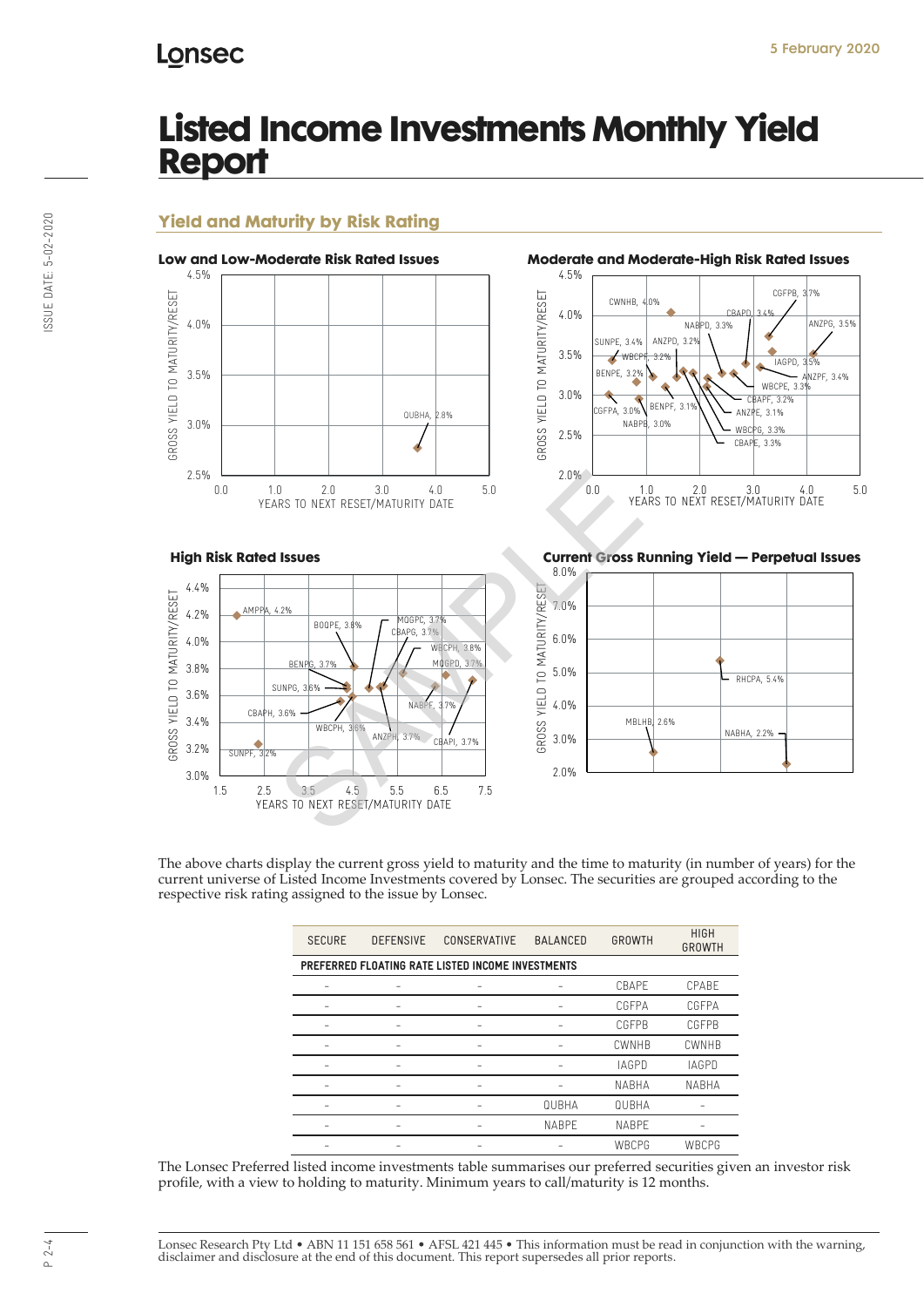# Lonsec

# **Listed Income Investments Monthly Yield Report**

## **Yield and Maturity by Risk Rating**



2.0 3.0 4.0 5.0<br>
ARS TO NEXT RESET/MATURITY DATE<br>
SAMPLE 3.7%<br>
BENPE, 3.7%<br>
BENPE, 3.7%<br>
BENPE, 3.7%<br>
BENPE, 3.7%<br>
BENPE, 3.7%<br>
SAMPLE 3.7%<br>
SAMPLE 3.7%<br>
MARPE 3.7%<br>
MARPE 3.7%<br>
MARPE 3.7%<br>
MARPE 3.7%<br>
MARPE 3.7%<br>
SAMPLE **High Risk Rated Issues Current Gross Running Yield — Perpetual Issues** 4.4% GROSS YIELD TO MATURITY/RESET GROSS YIELD TO MATURITY/RESET **AMF** 4.2% MQGPC, 3.7% BOOPE<sub>3</sub> CBAPG, 3.7% 4.0% WBCPH, 3.8%  $P<sub>0</sub>$ 3.8% BENPG, 3.7% SUNPG 3.6% NABPF, 3.7% CBAPH, 3.6% 3.4% WBCPH, 3.6% ANZPH, 3.7% |<br>BAPI, 3.7% 3.2%  $STIMP$ 3.0% 1.5 2.5 3.5 4.5 5.5 6.5 7.5 YEARS TO NEXT RESET/MATURITY DATE





The above charts display the current gross yield to maturity and the time to maturity (in number of years) for the current universe of Listed Income Investments covered by Lonsec. The securities are grouped according to the respective risk rating assigned to the issue by Lonsec.

| <b>SECURE</b><br><b>DEFENSIVE</b>                 |  | CONSERVATIVE | <b>BALANCED</b> | GROWTH       | <b>HIGH</b><br><b>GROWTH</b> |  |  |  |  |  |  |
|---------------------------------------------------|--|--------------|-----------------|--------------|------------------------------|--|--|--|--|--|--|
| PREFERRED FLOATING RATE LISTED INCOME INVESTMENTS |  |              |                 |              |                              |  |  |  |  |  |  |
|                                                   |  |              |                 | CBAPF        | CPABE                        |  |  |  |  |  |  |
|                                                   |  |              |                 | CGFPA        | CGFPA                        |  |  |  |  |  |  |
|                                                   |  |              |                 | <b>CGFPB</b> | <b>CGFPB</b>                 |  |  |  |  |  |  |
|                                                   |  |              |                 | CWNHB        | <b>CWNHB</b>                 |  |  |  |  |  |  |
|                                                   |  |              |                 | <b>IAGPD</b> | <b>IAGPD</b>                 |  |  |  |  |  |  |
|                                                   |  |              |                 | <b>NABHA</b> | <b>NABHA</b>                 |  |  |  |  |  |  |
|                                                   |  |              | QUBHA           | QUBHA        |                              |  |  |  |  |  |  |
|                                                   |  |              | <b>NABPE</b>    | <b>NABPE</b> |                              |  |  |  |  |  |  |
|                                                   |  |              |                 | WBCPG        | WBCPG                        |  |  |  |  |  |  |

The Lonsec Preferred listed income investments table summarises our preferred securities given an investor risk profile, with a view to holding to maturity. Minimum years to call/maturity is 12 months.

ISSUE DATE: 5-02-2020 ISSUE DATE: 5-02-2020

> Lonsec Research Pty Ltd • ABN 11 151 658 561 • AFSL 421 445 • This information must be read in conjunction with the warning, disclaimer and disclosure at the end of this document. This report supersedes all prior reports.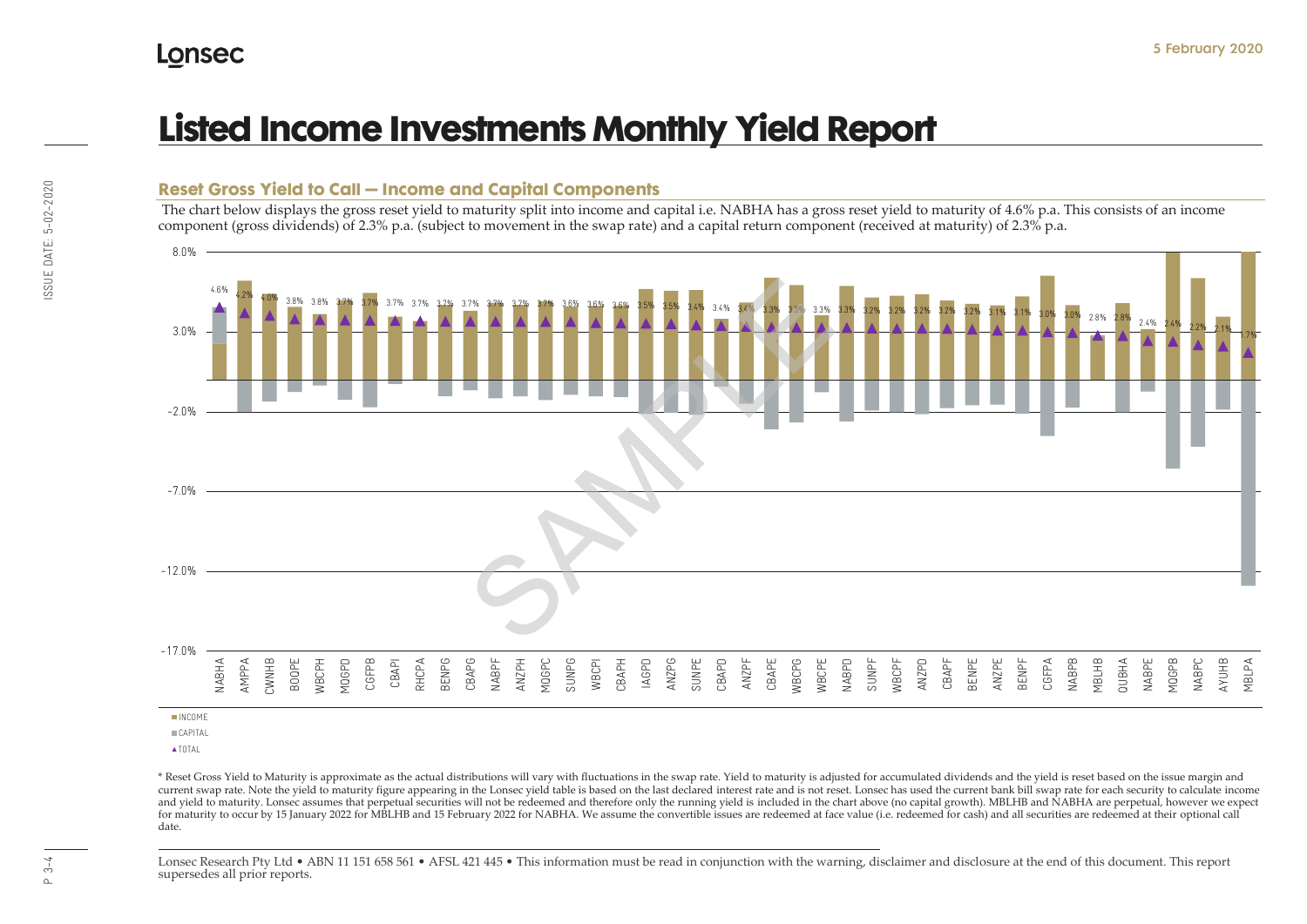# **Listed Income Investments Monthly Yield Report**

**Reset Gross Yield to Call – Income and Capital Components**

#### component (gross dividends) of 2.3% p.a. (subject to movement in the swap rate) and a capital return component (received at maturity) of 2.3% p.a. 4.6% 4.2% 4.0% 3.8% 3.8% 3.7% 3.7% 3.7% 3.7% 3.7% 3.7% 3.7% 3.7% 3.7% 3.6% 3.6% 3.6% 3.5% 3.5% 3.4% 3.4% 3.4% 3.3% 3.3% 3.3% 3.3% 3.2% 3.2% 3.2% 3.2% 3.2% 3.1% 3.1% 3.0% 3.0% 2.8% 2.8% 2.4% 2.4% 2.2% 2.1% 1.7%  $-17.0%$  $-12.0%$ -7.0% -2.0% 3.0% 8.0% NABHA AMPPA CWNHB BOQPE WBCPH MQGPD CGFPB CBAPI **RHCPA** BENPG CBAPG NABPF ANZPH MQGPC SUNPG WBCPI CBAPH IAGPD ANZPG SUNPE CBAPD ANZPF CBAPE WBCPG WBCPE NABPD SUNPF WBCPF ANZPD CBAPF BENPE ANZPE BENPF CGFPA NABPB MBLHB QUBHA NABPE MQGPB NABPC AYUHB MBLPA INCOME **CAPITAL** SAMPLE SAMPLE

The chart below displays the gross reset yield to maturity split into income and capital i.e. NABHA has a gross reset yield to maturity of 4.6% p.a. This consists of an income

**ATOTAL** 

\* Reset Gross Yield to Maturity is approximate as the actual distributions will vary with fluctuations in the swap rate. Yield to maturity is adjusted for accumulated dividends and the yield is reset based on the issue mar current swap rate. Note the yield to maturity figure appearing in the Lonsec yield table is based on the last declared interest rate and is not reset. Lonsec has used the current bank bill swap rate for each security to ca and yield to maturity. Lonsec assumes that perpetual securities will not be redeemed and therefore only the running yield is included in the chart above (no capital growth). MBLHB and NABHA are perpetual, however we expect for maturity to occur by 15 January 2022 for MBLHB and 15 February 2022 for NABHA. We assume the convertible issues are redeemed at face value (i.e. redeemed for cash) and all securities are redeemed at their optional call date.

Lonsec Research Pty Ltd • ABN 11 151 658 561 • AFSL 421 445 • This information must be read in conjunction with the warning, disclaimer and disclosure at the end of this document. This report supersedes all prior reports.